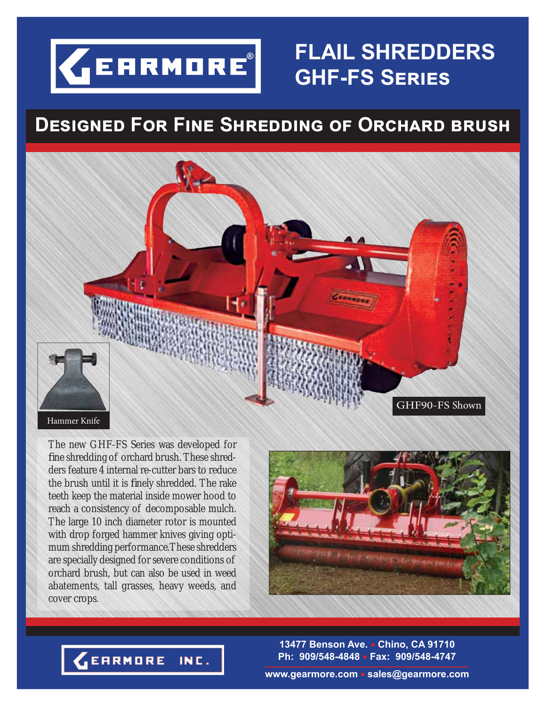

## **FLAIL SHREDDERS GHF-FS SERIES**

## **<u>DESIGNED FOR FINE SHREDDING OF ORCHARD BRUSH</u>**



The new GHF-FS Series was developed for fine shredding of orchard brush. These shredders feature 4 internal re-cutter bars to reduce the brush until it is finely shredded. The rake teeth keep the material inside mower hood to reach a consistency of decomposable mulch. The large 10 inch diameter rotor is mounted with drop forged hammer knives giving optimum shredding performance.These shredders are specially designed for severe conditions of orchard brush, but can also be used in weed abatements, tall grasses, heavy weeds, and cover crops.



**13477 Benson Ave. Chino, CA 91710 Ph: 909/548-4848 Fax: 909/548-4747**

**EARMORE** INC.

**www.gearmore.com sales@gearmore.com**